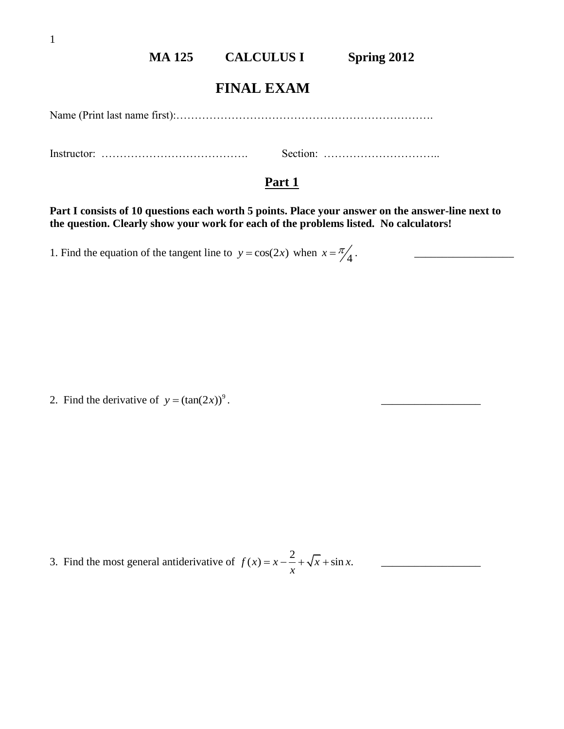## **MA 125 CALCULUS I Spring 2012**

## **FINAL EXAM**

Name (Print last name first):…………………………………………………………….

Instructor: …………………………………. Section: …………………………..

## **Part 1**

**Part I consists of 10 questions each worth 5 points. Place your answer on the answer-line next to the question. Clearly show your work for each of the problems listed. No calculators!**

1. Find the equation of the tangent line to  $y = cos(2x)$  when  $x = \frac{\pi}{4}$ .

2. Find the derivative of  $y = (\tan(2x))^9$ .

3. Find the most general antiderivative of  $f(x) = x - \frac{2}{x} + \sqrt{x} + \sin x$ .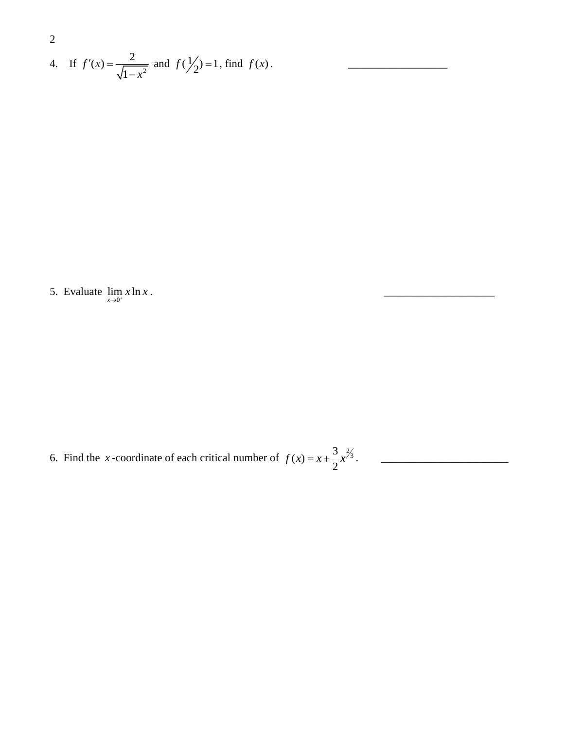2  
4. If 
$$
f'(x) = \frac{2}{\sqrt{1 - x^2}}
$$
 and  $f(\frac{1}{2}) = 1$ , find  $f(x)$ .

5. Evaluate  $\lim_{x\to 0^+} x \ln x$ 

6. Find the *x*-coordinate of each critical number of  $f(x) = x + \frac{3}{2}x^{2/3}$ 2 *f x x x* . \_\_\_\_\_\_\_\_\_\_\_\_\_\_\_\_\_\_\_\_\_\_\_

. \_\_\_\_\_\_\_\_\_\_\_\_\_\_\_\_\_\_\_\_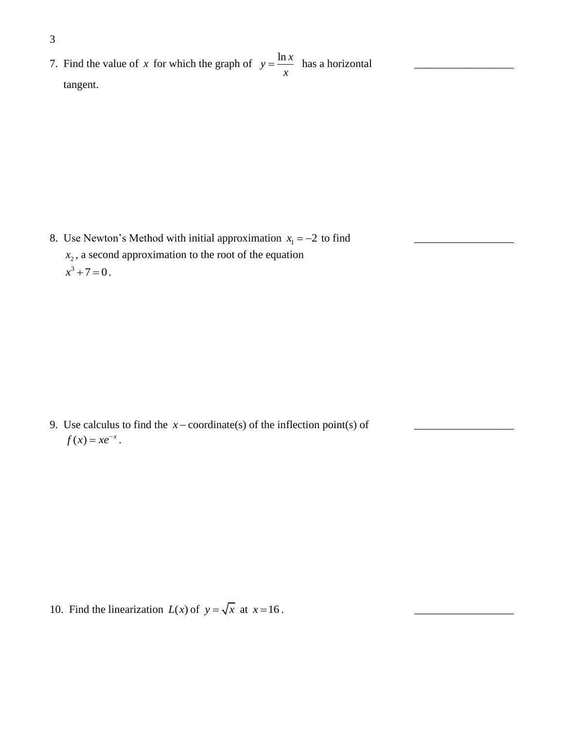7. Find the value of x for which the graph of  $y = \frac{\ln x}{a}$ *x*  $=\frac{\ln x}{x}$  has a horizontal  $\frac{1}{x}$ tangent.

8. Use Newton's Method with initial approximation 1 *x* 2 to find \_\_\_\_\_\_\_\_\_\_\_\_\_\_\_\_\_\_  $x_2$ , a second approximation to the root of the equation  $x^3 + 7 = 0$ .

9. Use calculus to find the *x* coordinate(s) of the inflection point(s) of \_\_\_\_\_\_\_\_\_\_\_\_\_\_\_\_\_\_  $f(x) = xe^{-x}$ .

10. Find the linearization  $L(x)$  of  $y = \sqrt{x}$  at  $x = 16$ .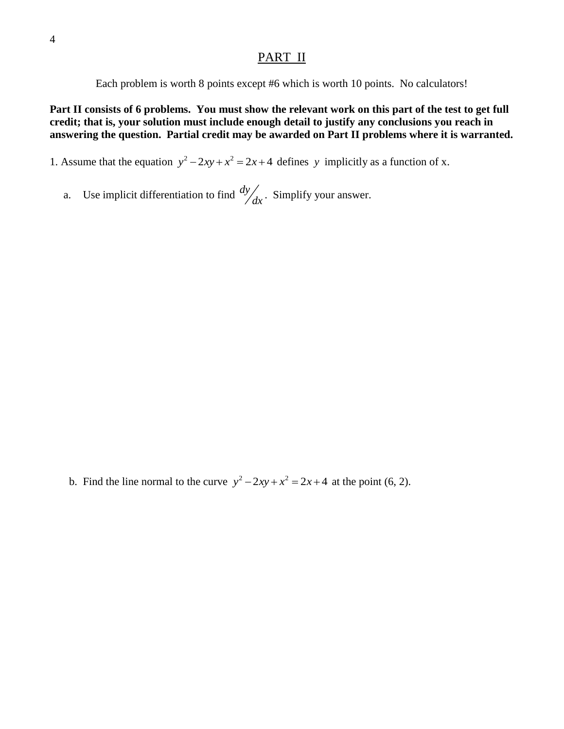## PART II

Each problem is worth 8 points except #6 which is worth 10 points. No calculators!

**Part II consists of 6 problems. You must show the relevant work on this part of the test to get full credit; that is, your solution must include enough detail to justify any conclusions you reach in answering the question. Partial credit may be awarded on Part II problems where it is warranted.**

1. Assume that the equation  $y^2 - 2xy + x^2 = 2x + 4$  defines y implicitly as a function of x.

a. Use implicit differentiation to find *dy*  $\int_{dx}$ . Simplify your answer.

b. Find the line normal to the curve  $y^2 - 2xy + x^2 = 2x + 4$  at the point (6, 2).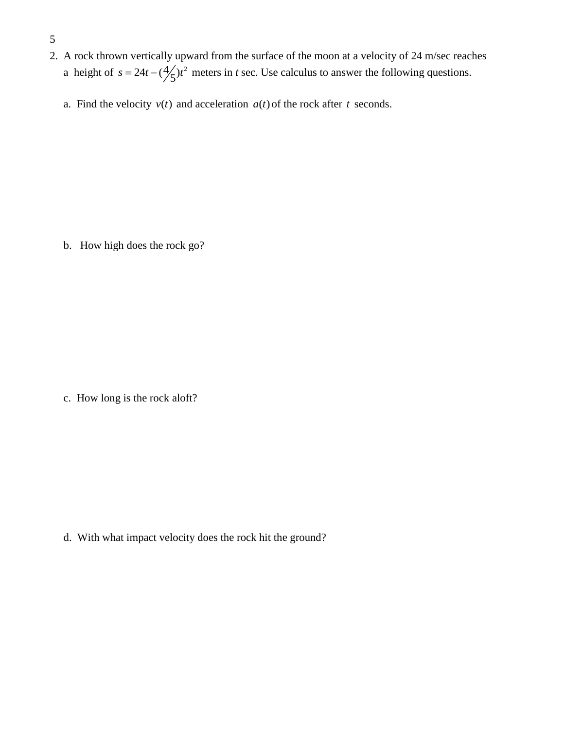- 5
- 2. A rock thrown vertically upward from the surface of the moon at a velocity of 24 m/sec reaches a height of  $s = 24t - (\frac{4}{5})t^2$  meters in *t* sec. Use calculus to answer the following questions.
- a. Find the velocity  $v(t)$  and acceleration  $a(t)$  of the rock after t seconds.

b. How high does the rock go?

c. How long is the rock aloft?

d. With what impact velocity does the rock hit the ground?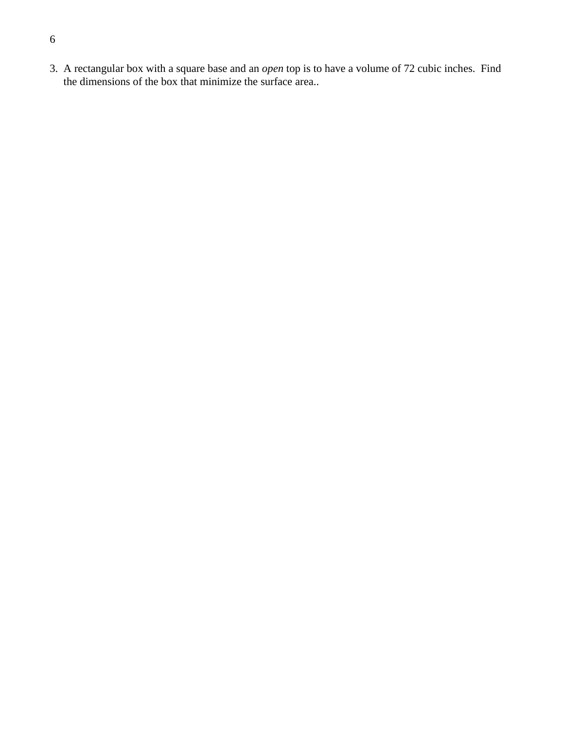3. A rectangular box with a square base and an *open* top is to have a volume of 72 cubic inches. Find the dimensions of the box that minimize the surface area..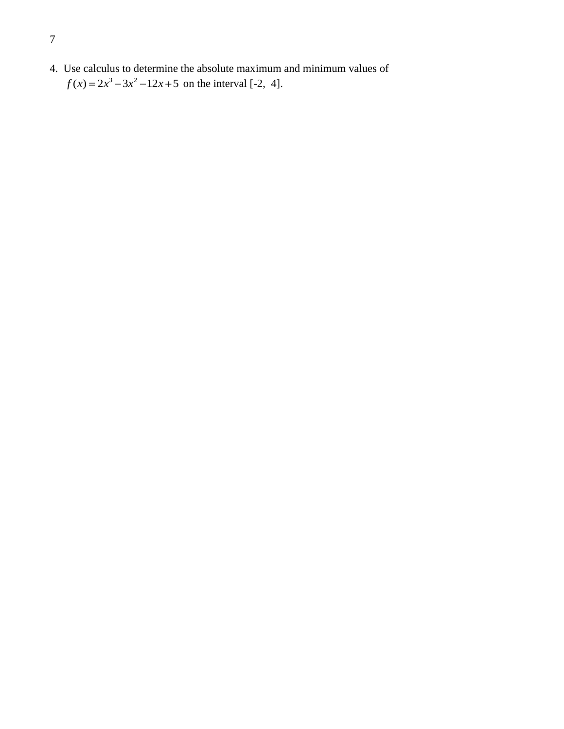4. Use calculus to determine the absolute maximum and minimum values of  $f(x) = 2x^3 - 3x^2 - 12x + 5$  on the interval [-2, 4].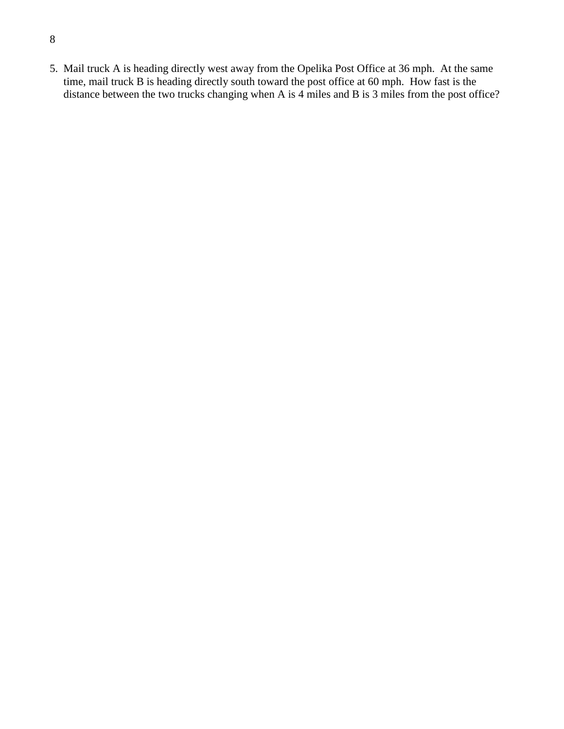- 8
- 5. Mail truck A is heading directly west away from the Opelika Post Office at 36 mph. At the same time, mail truck B is heading directly south toward the post office at 60 mph. How fast is the distance between the two trucks changing when A is 4 miles and B is 3 miles from the post office?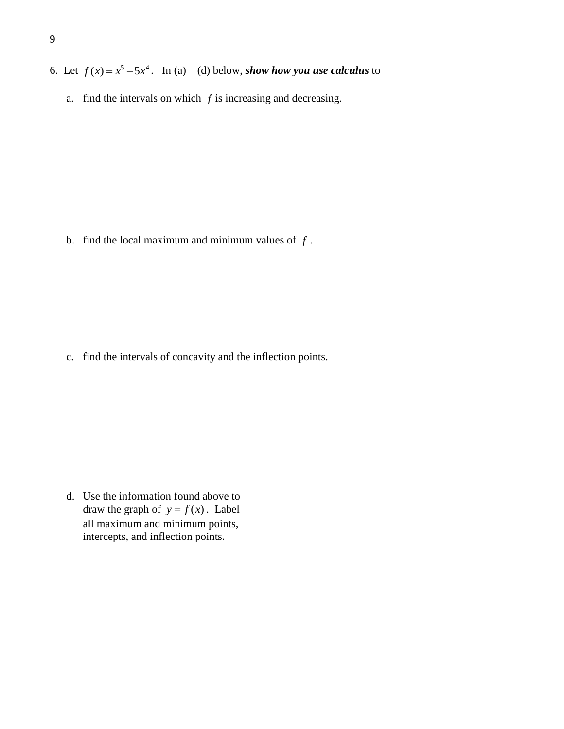- 6. Let  $f(x) = x^5 5x^4$ . In (a)—(d) below, *show how you use calculus* to
	- a. find the intervals on which  $f$  is increasing and decreasing.

b. find the local maximum and minimum values of *f* .

c. find the intervals of concavity and the inflection points.

d. Use the information found above to draw the graph of  $y = f(x)$ . Label all maximum and minimum points, intercepts, and inflection points.